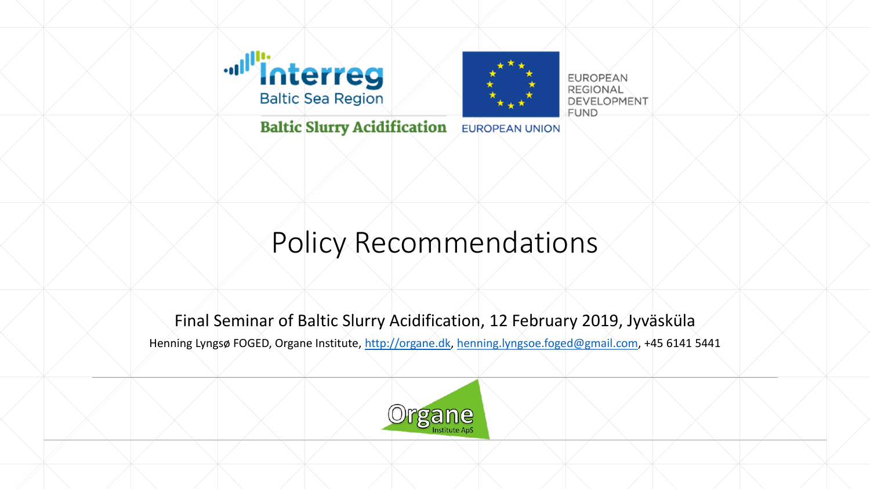



**EUROPEAN REGIONAL DEVELOPMENT FUND** 

**Baltic Slurry Acidification EUROPEAN UNION** 

### Policy Recommendations

#### Final Seminar of Baltic Slurry Acidification, 12 February 2019, Jyväsküla

Henning Lyngsø FOGED, Organe Institute, [http://organe.dk](http://organe.dk/), [henning.lyngsoe.foged@gmail.com](mailto:henning.lyngsoe.foged@gmail.com), +45 6141 5441

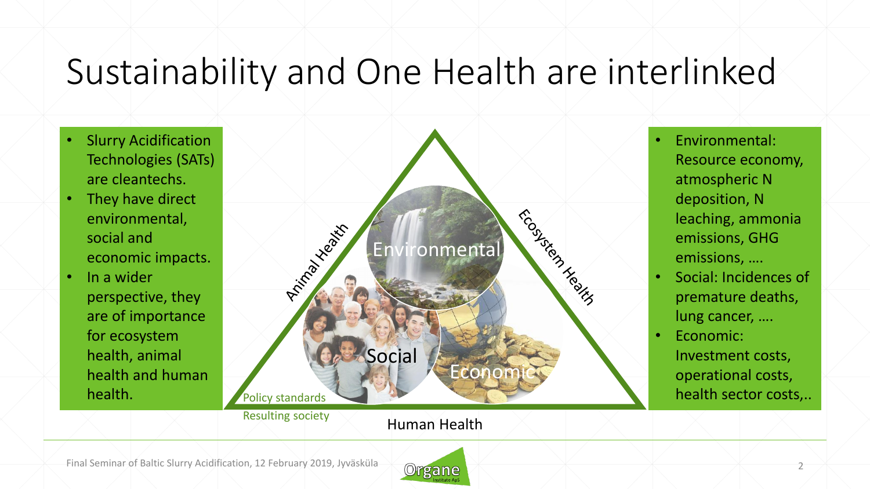## Sustainability and One Health are interlinked

- Slurry Acidification Technologies (SATs) are cleantechs.
- They have direct environmental, social and economic impacts.
- In a wider perspective, they are of importance for ecosystem health, animal health and human health.



Human Health

• Environmental: Resource economy, atmospheric N deposition, N leaching, ammonia emissions, GHG emissions, ….

- Social: Incidences of premature deaths, lung cancer, ….
- Economic: Investment costs, operational costs,

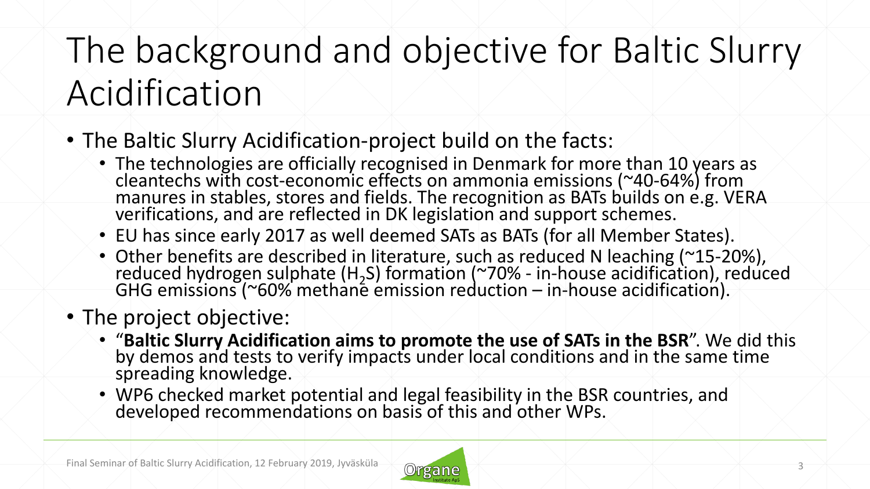# The background and objective for Baltic Slurry Acidification

- The Baltic Slurry Acidification-project build on the facts:
	- The technologies are officially recognised in Denmark for more than 10 years as cleantechs with cost-economic effects on ammonia emissions (~40-64%) from manures in stables, stores and fields. The recognition as BATs builds on e.g. VERA verifications, and are reflected in DK legislation and support schemes.
	- EU has since early 2017 as well deemed SATs as BATs (for all Member States).
	- Other benefits are described in literature, such as reduced N leaching (~15-20%), reduced hydrogen sulphate (H<sub>2</sub>S) formation (~70% - in-house acidification), reduced GHG emissions (~60% methane emission reduction – in-house acidification).
- The project objective:
	- "**Baltic Slurry Acidification aims to promote the use of SATs in the BSR**". We did this by demos and tests to verify impacts under local conditions and in the same time spreading knowledge.
	- WP6 checked market potential and legal feasibility in the BSR countries, and developed recommendations on basis of this and other WPs.

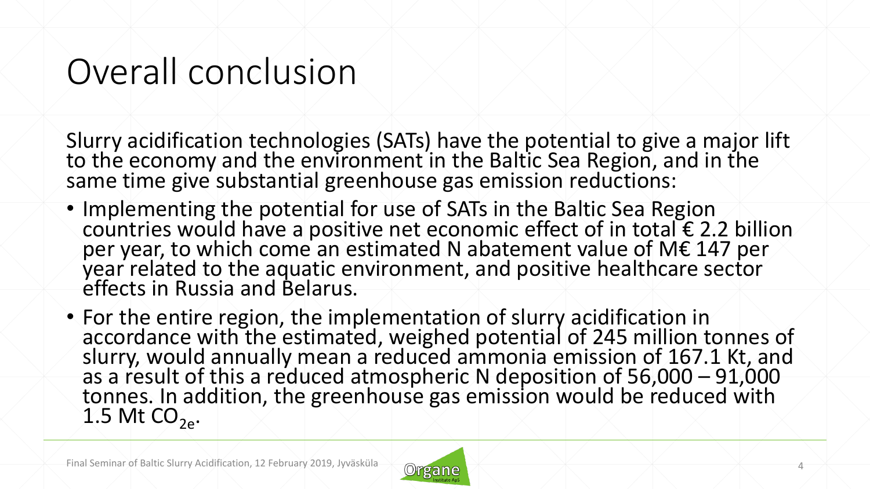## Overall conclusion

Slurry acidification technologies (SATs) have the potential to give a major lift to the economy and the environment in the Baltic Sea Region, and in the same time give substantial greenhouse gas emission reductions:

- Implementing the potential for use of SATs in the Baltic Sea Region countries would have a positive net economic effect of in total € 2.2 billion per year, to which come an estimated N abatement value of M€ 147 per year related to the aquatic environment, and positive healthcare sector effects in Russia and Belarus.
- For the entire region, the implementation of slurry acidification in accordance with the estimated, weighed potential of 245 million tonnes of slurry, would annually mean a reduced ammonia emission of 167.1 Kt, and as a result of this a reduced atmospheric N deposition of 56,000 – 91,000 tonnes. In addition, the greenhouse gas emission would be reduced with 1.5 Mt  $CO<sub>2e</sub>$ .

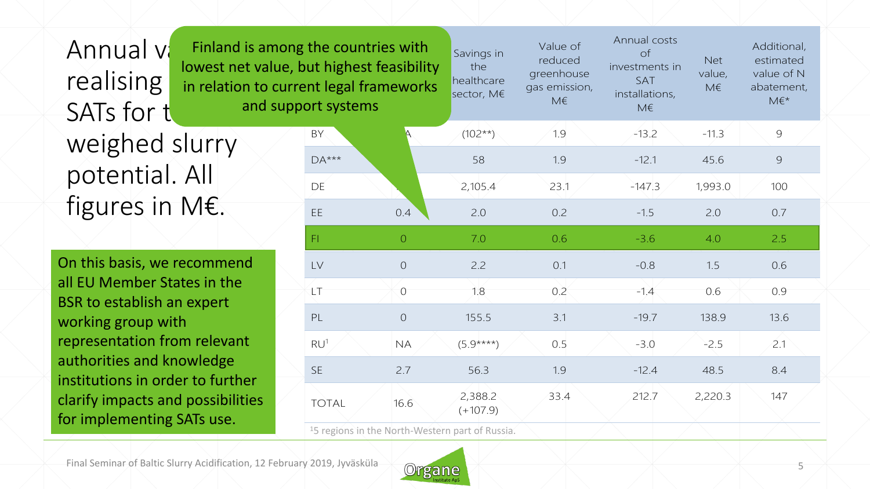Annual va realising SATs for the weighed slurry potential. All figures in M€. Finland is among lowest net value, in relation to curre

On this basis, we recommend all EU Member States in the BSR to establish an expert working group with representation from relevant authorities and knowledge institutions in order to further clarify impacts and possibilities for implementing SATs use.

| is among the countries with<br>et value, but highest feasibility<br>In to current legal frameworks<br>and support systems |  |                                                             |                | Savings in<br>the<br>healthcare<br>sector, M€ | Value of<br>reduced<br>greenhouse<br>gas emission,<br>M€ | Annual costs<br>$\circ$ f<br>investments in<br>SAT<br>installations,<br>M€ | <b>Net</b><br>value,<br>M€ | Additional,<br>estimated<br>value of N<br>abatement,<br>$M \in K^*$ |
|---------------------------------------------------------------------------------------------------------------------------|--|-------------------------------------------------------------|----------------|-----------------------------------------------|----------------------------------------------------------|----------------------------------------------------------------------------|----------------------------|---------------------------------------------------------------------|
|                                                                                                                           |  | <b>BY</b>                                                   |                | $(102**)$                                     | 1.9                                                      | $-13.2$                                                                    | $-11.3$                    | $\overline{9}$                                                      |
|                                                                                                                           |  | $DA***$                                                     |                | 58                                            | 1.9                                                      | $-12.1$                                                                    | 45.6                       | $\mathcal{G}$                                                       |
|                                                                                                                           |  | DE                                                          |                | 2,105.4                                       | 23.1                                                     | $-147.3$                                                                   | 1,993.0                    | 100                                                                 |
|                                                                                                                           |  | EE                                                          | 0.4            | 2.0                                           | 0.2                                                      | $-1.5$                                                                     | 2.0                        | 0.7                                                                 |
|                                                                                                                           |  | F1                                                          | $\overline{O}$ | 7.0                                           | 0.6                                                      | $-3.6$                                                                     | 4.0                        | 2.5                                                                 |
| ٦d                                                                                                                        |  | LV                                                          | $\overline{O}$ | 2.2                                           | 0.1                                                      | $-0.8$                                                                     | 1.5                        | 0.6                                                                 |
|                                                                                                                           |  | LT                                                          | $\overline{O}$ | 1.8                                           | 0.2                                                      | $-1.4$                                                                     | 0.6                        | 0.9                                                                 |
|                                                                                                                           |  | PL                                                          | $\overline{O}$ | 155.5                                         | 3.1                                                      | $-19.7$                                                                    | 138.9                      | 13.6                                                                |
| ٦t                                                                                                                        |  | RU <sup>1</sup>                                             | <b>NA</b>      | $(5.9***)$                                    | 0.5                                                      | $-3.0$                                                                     | $-2.5$                     | 2.1                                                                 |
| er<br>ties                                                                                                                |  | <b>SE</b>                                                   | 2.7            | 56.3                                          | 1.9                                                      | $-12.4$                                                                    | 48.5                       | 8.4                                                                 |
|                                                                                                                           |  | <b>TOTAL</b>                                                | 16.6           | 2,388.2<br>$(+107.9)$                         | 33.4                                                     | 212.7                                                                      | 2,220.3                    | 147                                                                 |
|                                                                                                                           |  | <sup>1</sup> 5 regions in the North-Western part of Russia. |                |                                               |                                                          |                                                                            |                            |                                                                     |

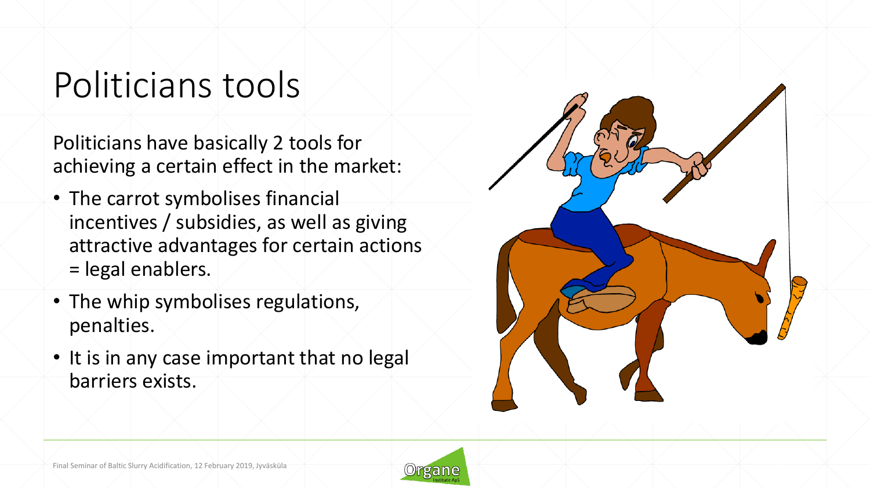## Politicians tools

Politicians have basically 2 tools for achieving a certain effect in the market:

- The carrot symbolises financial incentives / subsidies, as well as giving attractive advantages for certain actions = legal enablers.
- The whip symbolises regulations, penalties.
- It is in any case important that no legal barriers exists.